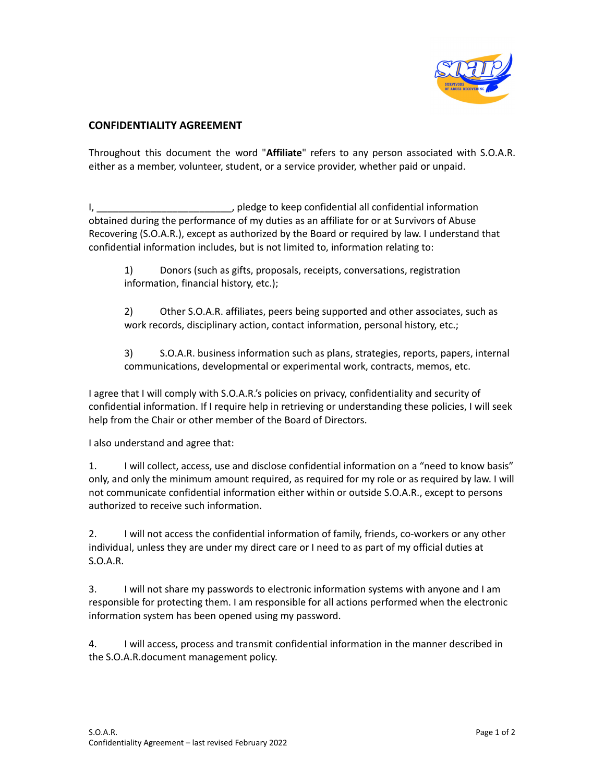

## **CONFIDENTIALITY AGREEMENT**

Throughout this document the word "**Affiliate**" refers to any person associated with S.O.A.R. either as a member, volunteer, student, or a service provider, whether paid or unpaid.

I, \_\_\_\_\_\_\_\_\_\_\_\_\_\_\_\_\_\_\_\_\_\_\_\_\_\_\_\_\_, pledge to keep confidential all confidential information obtained during the performance of my duties as an affiliate for or at Survivors of Abuse Recovering (S.O.A.R.), except as authorized by the Board or required by law. I understand that confidential information includes, but is not limited to, information relating to:

1) Donors (such as gifts, proposals, receipts, conversations, registration information, financial history, etc.);

2) Other S.O.A.R. affiliates, peers being supported and other associates, such as work records, disciplinary action, contact information, personal history, etc.;

3) S.O.A.R. business information such as plans, strategies, reports, papers, internal communications, developmental or experimental work, contracts, memos, etc.

I agree that I will comply with S.O.A.R.'s policies on privacy, confidentiality and security of confidential information. If I require help in retrieving or understanding these policies, I will seek help from the Chair or other member of the Board of Directors.

I also understand and agree that:

1. I will collect, access, use and disclose confidential information on a "need to know basis" only, and only the minimum amount required, as required for my role or as required by law. I will not communicate confidential information either within or outside S.O.A.R., except to persons authorized to receive such information.

2. I will not access the confidential information of family, friends, co-workers or any other individual, unless they are under my direct care or I need to as part of my official duties at S.O.A.R.

3. I will not share my passwords to electronic information systems with anyone and I am responsible for protecting them. I am responsible for all actions performed when the electronic information system has been opened using my password.

4. I will access, process and transmit confidential information in the manner described in the S.O.A.R.document management policy.